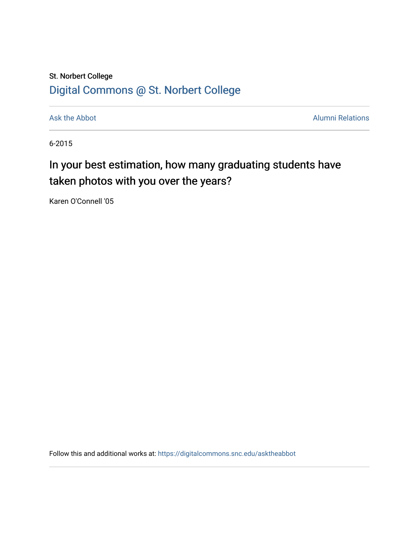## St. Norbert College [Digital Commons @ St. Norbert College](https://digitalcommons.snc.edu/)

[Ask the Abbot](https://digitalcommons.snc.edu/asktheabbot) **Alumni Relations** Ask the Abbot **Alumni Relations** 

6-2015

## In your best estimation, how many graduating students have taken photos with you over the years?

Karen O'Connell '05

Follow this and additional works at: [https://digitalcommons.snc.edu/asktheabbot](https://digitalcommons.snc.edu/asktheabbot?utm_source=digitalcommons.snc.edu%2Fasktheabbot%2F100&utm_medium=PDF&utm_campaign=PDFCoverPages)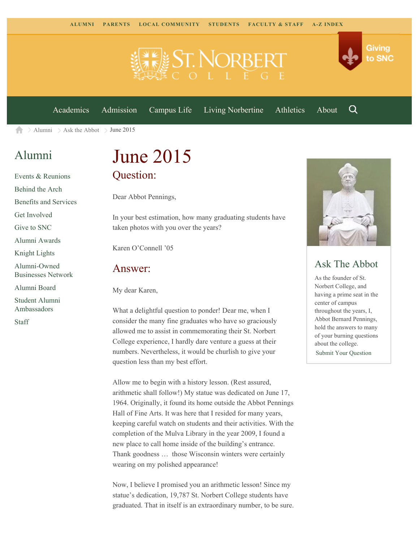

[Academics](https://www.snc.edu/academics) [Admission](https://www.snc.edu/admission) [Campus Life](https://www.snc.edu/campuslife) [Living Norbertine](https://www.snc.edu/livingnorbertine) [Athletics](https://www.snc.edu/athletics) [About](https://www.snc.edu/about)

Q

Giving

to SNC

 $\geq$  [Alumni](https://www.snc.edu/alumni/)  $\geq$  [Ask the Abbot](https://www.snc.edu/alumni/abbot/)  $\geq$  June 2015 合

### [Alumni](https://www.snc.edu/alumni/index.html)

[Events & Reunions](https://www.snc.edu/alumni/event/index.html) [Behind the Arch](https://www.snc.edu/alumni/event/behindthearch/) [Benefits and Services](https://www.snc.edu/alumni/benefits.html) [Get Involved](https://www.snc.edu/alumni/getinvolved.html) [Give to SNC](http://giving.snc.edu/) [Alumni Awards](https://www.snc.edu/alumni/awards/index.html) [Knight Lights](https://www.snc.edu/alumni/knightlights/index.html) [Alumni-Owned](https://www.snc.edu/alumni/directory/index.html) [Businesses Network](https://www.snc.edu/alumni/directory/index.html) [Alumni Board](https://www.snc.edu/alumni/alumniboard.html) [Student Alumni](https://www.snc.edu/alumni/saa.html) [Ambassadors](https://www.snc.edu/alumni/saa.html) [Staff](https://www.snc.edu/alumni/contactus.html)

# June 2015 Question:

Dear Abbot Pennings,

In your best estimation, how many graduating students have taken photos with you over the years?

Karen O'Connell '05

#### Answer:

My dear Karen,

What a delightful question to ponder! Dear me, when I consider the many fine graduates who have so graciously allowed me to assist in commemorating their St. Norbert College experience, I hardly dare venture a guess at their numbers. Nevertheless, it would be churlish to give your question less than my best effort.

Allow me to begin with a history lesson. (Rest assured, arithmetic shall follow!) My statue was dedicated on June 17, 1964. Originally, it found its home outside the Abbot Pennings Hall of Fine Arts. It was here that I resided for many years, keeping careful watch on students and their activities. With the completion of the Mulva Library in the year 2009, I found a new place to call home inside of the building's entrance. Thank goodness … those Wisconsin winters were certainly wearing on my polished appearance!

Now, I believe I promised you an arithmetic lesson! Since my statue's dedication, 19,787 St. Norbert College students have graduated. That in itself is an extraordinary number, to be sure.



#### Ask The Abbot

As the founder of St. Norbert College, and having a prime seat in the center of campus throughout the years, I, Abbot Bernard Pennings, hold the answers to many of your burning questions about the college. [Submit Your Question](https://www.snc.edu/alumni/abbot/index.html)